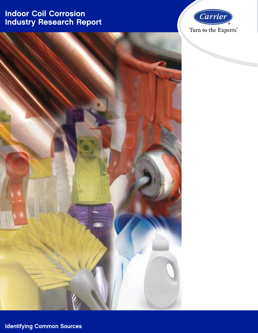# Indoor Coil Corrosion Industry Research Report





Identifying Common Sources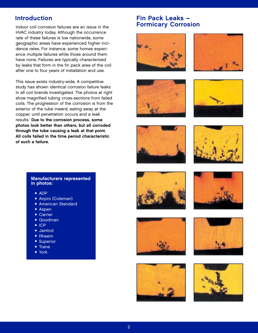Indoor coil corrosion failures are an issue in the HVAC industry today. Although the occurrence rate of these failures is low nationwide, some geographic areas have experienced higher incidence rates. For instance, some homes experience multiple failures while those around them have none. Failures are typically characterized by leaks that form in the fin pack area of the coil after one to four years of installation and use.

This issue exists industry-wide. A competitive study has shown identical corrosion failure leaks in all coil brands investigated. The photos at right show magnified tubing cross-sections from failed coils. The progression of the corrosion is from the exterior of the tube inward, eating away at the copper, until penetration occurs and a leak results.<sup>1</sup> Due to the corrosion process, some photos look better than others, but all corroded through the tube causing a leak at that point. All coils failed in the time period characteristic of such a failure.

## Introduction **Fin Pack Leaks** – Formicary Corrosion

























### Manufacturers represented in photos:

- ADP
- Airpro (Coleman)
- American Standard
- Aspen
- Carrier
- Goodman
- ICP
- Janitrol
- Rheem
- Superior
- Trane
- York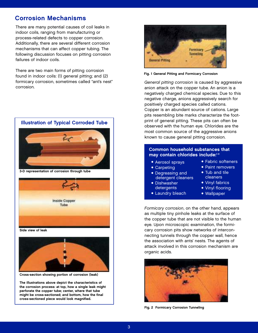## Corrosion Mechanisms

There are many potential causes of coil leaks in indoor coils, ranging from manufacturing or process-related defects to copper corrosion. Additionally, there are several different corrosion mechanisms that can affect copper tubing. The following discussion focuses on pitting corrosion failures of indoor coils.

There are two main forms of pitting corrosion found in indoor coils: (1) general pitting; and (2) formicary corrosion, sometimes called "ant's nest" corrosion.



3-D representation of corrosion through tube



Side view of leak



Cross-section showing portion of corrosion (leak)

The illustrations above depict the characteristics of the corrosion process: at top, how a single leak might perforate the copper tube; center, where that tube might be cross-sectioned; and bottom, how the final cross-sectioned piece would look magnified.



Fig. 1 General Pitting and Formicary Corrosion

General pitting corrosion is caused by aggressive anion attack on the copper tube. An anion is a negatively charged chemical species. Due to this negative charge, anions aggressively search for positively charged species called cations. Copper is an abundant source of cations. Large pits resembling bite marks characterize the footprint of general pitting. These pits can often be observed with the human eye. Chlorides are the most common source of the aggressive anions known to cause general pitting corrosion.

#### Common household substances that may contain chlorides include:<sup>1-3</sup>

- Aerosol sprays
- Carpeting
- Degreasing and detergent cleaners
- Dishwasher detergents
- Laundry bleach
- Fabric softeners
- Paint removers
- Tub and tile cleaners
- Vinyl fabrics
- Vinyl flooring
- Wallpaper

Formicary corrosion, on the other hand, appears as multiple tiny pinhole leaks at the surface of the copper tube that are not visible to the human eye. Upon microscopic examination, the formicary corrosion pits show networks of interconnecting tunnels through the copper wall, hence the association with ants' nests. The agents of attack involved in this corrosion mechanism are organic acids.



Fig. 2 Formicary Corrosion Tunneling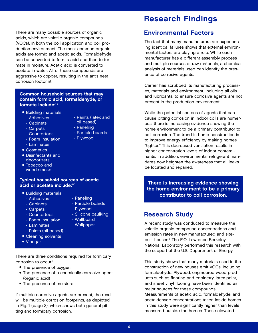There are many possible sources of organic acids, which are volatile organic compounds (VOCs), in both the coil application and coil production environment. The most common organic acids are formic and acetic acids. Formaldehyde can be converted to formic acid and then to formate in moisture. Acetic acid is converted to acetate in water. All of these compounds are aggressive to copper, resulting in the ant's nest corrosion footprint.

## Common household sources that may contain formic acid, formaldehyde, or formate include:1-7

- Building materials
	- Adhesives
	- Cabinets
- Paints (latex and oil based)
- Carpets
- Paneling - Particle boards

- Plywood

- Countertops
- Foam insulation
- Laminates
- Cosmetics
- Disinfectants and deodorizers
- Tobacco and wood smoke

# Typical household sources of acetic

- Building materials
	- Adhesives
	- Cabinets
- Particle boards
- Carpets
- Plywood - Silicone caulking
- Countertops
- Foam insulation - Wallboard - Wallpaper
- Laminates
- Paints (oil based)
- Cleaning solvents
- Vinegar

There are three conditions required for formicary corrosion to occur:<sup>7</sup>

- The presence of oxygen
- The presence of a chemically corrosive agent (organic acid)
- The presence of moisture

If multiple corrosive agents are present, the result will be multiple corrosion footprints, as depicted in Fig. 1 (page 3), which shows both general pitting and formicary corrosion.

# Research Findings

## Environmental Factors

The fact that many manufacturers are experiencing identical failures shows that external environmental factors are playing a role. While each manufacturer has a different assembly process and multiple sources of raw materials, a chemical analysis of materials used can identify the presence of corrosive agents.

Carrier has scrubbed its manufacturing processes, materials and environment, including all oils and lubricants, to ensure corrosive agents are not present in the production environment.

While the potential sources of agents that can cause pitting corrosion in indoor coils are numerous, there is increasing evidence showing the home environment to be a primary contributor to coil corrosion. The trend in home construction is to improve energy efficiency by making homes "tighter." This decreased ventilation results in higher concentration levels of indoor contaminants. In addition, environmental refrigerant mandates now heighten the awareness that all leaks be located and repaired.

There is increasing evidence showing<br>acid or acetate include:<sup>17</sup> There is increasing evidence showing the home environment to be a primary contributor to coil corrosion.

# Research Study

A recent study was conducted to measure the volatile organic compound concentrations and emission rates in new manufactured and sitebuilt houses.<sup>8</sup> The E.O. Lawrence Berkeley National Laboratory performed this research with the support of the U.S. Department of Energy.

This study shows that many materials used in the construction of new houses emit VOCs, including formaldehyde. Plywood, engineered wood products such as flooring and cabinetry, latex paint, and sheet vinyl flooring have been identified as major sources for these compounds. Measurements of acetic acid, formaldehyde, and acetaldehyde concentrations taken inside homes in this study were significantly higher than levels measured outside the homes. These elevated

- 
- - Paneling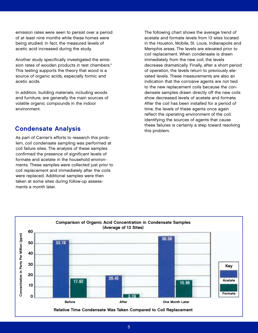emission rates were seen to persist over a period of at least nine months while these homes were being studied. In fact, the measured levels of acetic acid increased during the study.

Another study specifically investigated the emission rates of wooden products in test chambers.<sup>9</sup> This testing supports the theory that wood is a source of organic acids, especially formic and acetic acids.

In addition, building materials, including woods and furniture, are generally the main sources of volatile organic compounds in the indoor environment.

As part of Carrier's efforts to research this problem, coil condensate sampling was performed at coil failure sites. The analysis of these samples confirmed the presence of significant levels of formate and acetate in the household environments. These samples were collected just prior to coil replacement and immediately after the coils were replaced. Additional samples were then taken at some sites during follow-up assessments a month later.

The following chart shows the average trend of acetate and formate levels from 13 sites located in the Houston, Mobile, St. Louis, Indianapolis and Memphis areas. The levels are elevated prior to coil replacement. When condensate is drawn immediately from the new coil, the levels decrease dramatically. Finally, after a short period of operation, the levels return to previously elevated levels. These measurements are also an indication that the corrosive agents are not tied to the new replacement coils because the condensate samples drawn directly off the new coils show decreased levels of acetate and formate. After the coil has been installed for a period of time, the levels of these agents once again reflect the operating environment of the coil. Identifying the sources of agents that cause **Condensate Analysis Condensate Analysis these failures is certainly a step toward resolving** this problem.

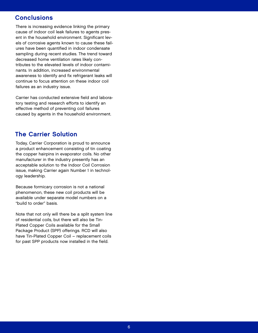## **Conclusions**

There is increasing evidence linking the primary cause of indoor coil leak failures to agents present in the household environment. Significant levels of corrosive agents known to cause these failures have been quantified in indoor condensate sampling during recent studies. The trend toward decreased home ventilation rates likely contributes to the elevated levels of indoor contaminants. In addition, increased environmental awareness to identify and fix refrigerant leaks will continue to focus attention on these indoor coil failures as an industry issue.

Carrier has conducted extensive field and laboratory testing and research efforts to identify an effective method of preventing coil failures caused by agents in the household environment.

## The Carrier Solution

Today, Carrier Corporation is proud to announce a product enhancement consisting of tin coating the copper hairpins in evaporator coils. No other manufacturer in the industry presently has an acceptable solution to the Indoor Coil Corrosion issue, making Carrier again Number 1 in technology leadership.

Because formicary corrosion is not a national phenomenon, these new coil products will be available under separate model numbers on a "build to order" basis.

Note that not only will there be a split system line of residential coils, but there will also be Tin-Plated Copper Coils available for the Small Package Product (SPP) offerings. RCD will also have Tin-Plated Copper Coil – replacement coils for past SPP products now installed in the field.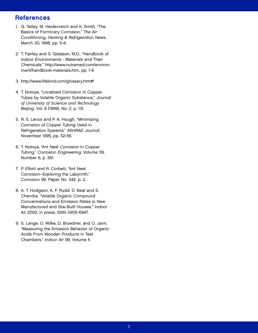## **References**

- 1. G. Tetley, M. Heidenreich and K. Smith, "The Basics of Formicary Corrosion," The Air Conditioning, Heating & Refrigeration News, March 30, 1998, pp. 5-6.
- 2. T. Fairley and S. Gislason, M.D., "Handbook of Indoor Environments - Materials and Their Chemicals," http://www.nutramed.com/environment/handbook-materials.htm, pp. 1-8.
- 3. http://www.lifekind.com/glossary.htm#f
- 4. T. Notoya, "Localized Corrosion in Copper Tubes by Volatile Organic Substance," Journal of University of Science and Technology Beijing, Vol. 6 (1999), No. 2, p. 131.
- 5. R. S. Lenox and P. A. Hough, "Minimizing Corrosion of Copper Tubing Used in Refrigeration Systems," ASHRAE Journal, November 1995, pp. 52-56.
- 6. T. Notoya, "Ant Nest Corrosion in Copper Tubing," Corrosion Engineering, Volume 39, Number 6, p. 361.
- 7. P. Elliott and R. Corbett, "Ant Nest Corrosion–Exploring the Labyrinth," Corrosion 99, Paper No. 342, p. 2.
- 8. A. T. Hodgson, A. F. Rudd, D. Beal and S. Chandra, "Volatile Organic Compound Concentrations and Emission Rates in New Manufactured and Site-Built Houses," Indoor Air 2000, in press, ISSN 0905-6947.
- 9. S. Lange, O. Wilke, D. Broedner, and O. Jann, "Measuring the Emission Behavior of Organic Acids From Wooden Products in Test Chambers," Indoor Air 99; Volume 5.